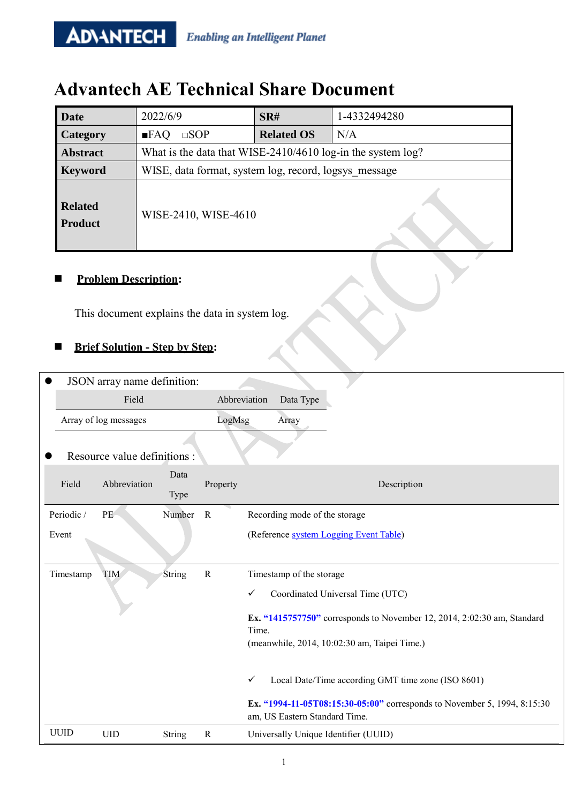## **Advantech AE Technical Share Document**

| Date                             | 2022/6/9                                                    | SR#               | 1-4332494280 |  |  |  |  |  |
|----------------------------------|-------------------------------------------------------------|-------------------|--------------|--|--|--|--|--|
| Category                         | $\Box$ sop<br>$\blacksquare$ FAQ                            | <b>Related OS</b> | N/A          |  |  |  |  |  |
| <b>Abstract</b>                  | What is the data that WISE-2410/4610 log-in the system log? |                   |              |  |  |  |  |  |
| <b>Keyword</b>                   | WISE, data format, system log, record, logsys message       |                   |              |  |  |  |  |  |
| <b>Related</b><br><b>Product</b> | WISE-2410, WISE-4610                                        |                   |              |  |  |  |  |  |

### **Problem Description:**

**ADVANTECH** 

This document explains the data in system log.

### **Brief Solution - Step by Step:**

|             | JSON array name definition:  |               |              |                                                                                                                                  |
|-------------|------------------------------|---------------|--------------|----------------------------------------------------------------------------------------------------------------------------------|
|             | Field                        |               |              | Abbreviation<br>Data Type                                                                                                        |
|             | Array of log messages        |               | LogMsg       | Array                                                                                                                            |
|             | Resource value definitions : |               |              |                                                                                                                                  |
| Field       | Abbreviation                 | Data<br>Type  | Property     | Description                                                                                                                      |
| Periodic /  | PE                           | Number        | $\mathbf R$  | Recording mode of the storage                                                                                                    |
| Event       |                              |               |              | (Reference system Logging Event Table)                                                                                           |
|             |                              |               |              |                                                                                                                                  |
| Timestamp   | <b>TIM</b>                   | String        | $\mathbf R$  | Timestamp of the storage                                                                                                         |
|             |                              |               |              | Coordinated Universal Time (UTC)<br>✓                                                                                            |
|             |                              |               |              | Ex. "1415757750" corresponds to November 12, 2014, 2:02:30 am, Standard<br>Time.<br>(meanwhile, 2014, 10:02:30 am, Taipei Time.) |
|             |                              |               |              | Local Date/Time according GMT time zone (ISO 8601)<br>✓                                                                          |
|             |                              |               |              | Ex. "1994-11-05T08:15:30-05:00" corresponds to November 5, 1994, 8:15:30<br>am, US Eastern Standard Time.                        |
| <b>UUID</b> | <b>UID</b>                   | <b>String</b> | $\mathbb{R}$ | Universally Unique Identifier (UUID)                                                                                             |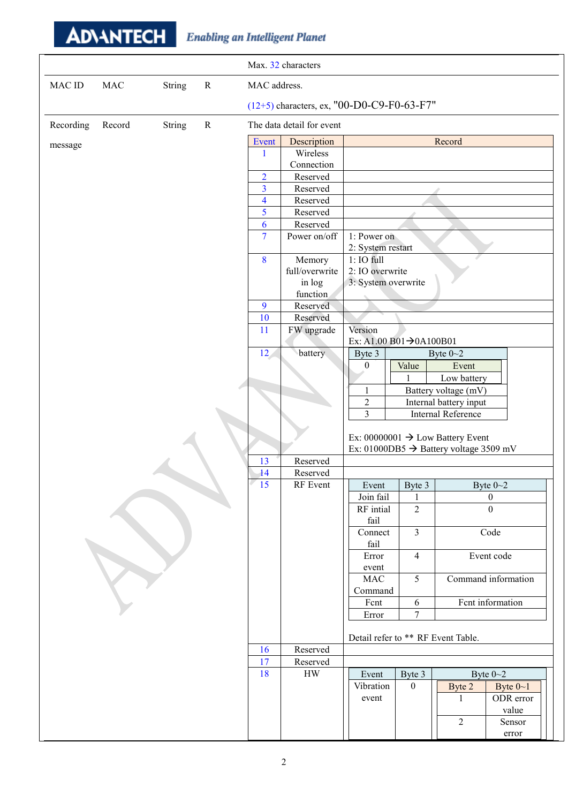# **ADVANTECH** Enabling an Intelligent Planet

| Max. 32 characters                                                        |  |
|---------------------------------------------------------------------------|--|
| <b>MAC</b><br>String<br><b>MAC ID</b><br>$\mathbf R$<br>MAC address.      |  |
| (12+5) characters, ex, "00-D0-C9-F0-63-F7"                                |  |
| $\mathbf R$<br>The data detail for event<br>Recording<br>Record<br>String |  |
| Record<br>Event<br>Description<br>message                                 |  |
| Wireless<br>1                                                             |  |
| Connection                                                                |  |
| $\overline{2}$<br>Reserved                                                |  |
| $\overline{3}$<br>Reserved                                                |  |
| $\overline{\mathbf{4}}$<br>Reserved                                       |  |
| 5<br>Reserved                                                             |  |
| 6<br>Reserved                                                             |  |
| $\overline{7}$<br>Power on/off<br>1: Power on<br>2: System restart        |  |
| $1:IO$ full<br>8<br>Memory                                                |  |
| 2: IO overwrite<br>full/overwrite                                         |  |
| 3: System overwrite<br>in log                                             |  |
| function                                                                  |  |
| Reserved<br>9                                                             |  |
| Reserved<br>10                                                            |  |
| Version<br>FW upgrade<br>11<br>Ex: A1.00 B01 $\rightarrow$ 0A100B01       |  |
| battery<br>12 <sub>1</sub><br>Byte 3<br>Byte $0 - 2$                      |  |
| Value<br>Event<br>$\theta$                                                |  |
| Low battery<br>$\mathbf{1}$                                               |  |
| Battery voltage (mV)<br>$\mathbf{1}$                                      |  |
| $\sqrt{2}$<br>Internal battery input                                      |  |
| $\overline{3}$<br><b>Internal Reference</b>                               |  |
|                                                                           |  |
| Ex: 00000001 $\rightarrow$ Low Battery Event                              |  |
| Ex: 01000DB5 $\rightarrow$ Battery voltage 3509 mV                        |  |
| 13<br>Reserved                                                            |  |
| 14<br>Reserved                                                            |  |
| 15<br>RF Event<br>Byte $0 - 2$<br>Event<br>Byte 3                         |  |
| Join fail<br>$\mathbf{0}$                                                 |  |
| $\Omega$<br>$\overline{2}$<br>RF intial                                   |  |
| fail                                                                      |  |
| $\overline{3}$<br>Code<br>Connect<br>fail                                 |  |
| Event code<br>Error<br>$\overline{4}$                                     |  |
| event                                                                     |  |
| 5<br>Command information<br>MAC                                           |  |
| Command                                                                   |  |
| Fent information<br>6<br>Fcnt                                             |  |
| Error<br>7                                                                |  |
|                                                                           |  |
| Detail refer to ** RF Event Table.                                        |  |
| Reserved<br>16                                                            |  |
| 17<br>Reserved                                                            |  |
| 18<br>${\rm HW}$<br>Byte $0 - 2$<br>Byte 3<br>Event                       |  |
| $\mathbf{0}$<br>Byte $0 - 1$<br>Vibration<br>Byte 2                       |  |
| ODR error<br>event<br>$\mathbf{1}$                                        |  |
| value                                                                     |  |
| $\sqrt{2}$<br>Sensor<br>error                                             |  |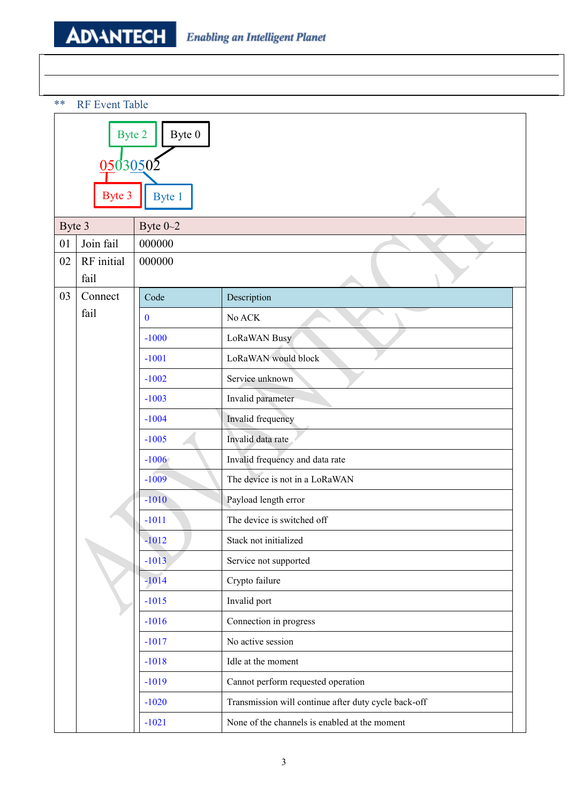\*\* RF Event Table

|        | Byte 2<br>Byte 0             |                   |                                                      |  |  |  |  |  |
|--------|------------------------------|-------------------|------------------------------------------------------|--|--|--|--|--|
|        | 0.5030502                    |                   |                                                      |  |  |  |  |  |
|        | Byte 3                       | Byte 1            |                                                      |  |  |  |  |  |
| Byte 3 |                              | Byte $0 - 2$      |                                                      |  |  |  |  |  |
| 01     | Join fail                    | 000000            |                                                      |  |  |  |  |  |
| 02     | RF initial<br>fail           | 000000            |                                                      |  |  |  |  |  |
| 03     | Connect                      | Code              | Description                                          |  |  |  |  |  |
|        | fail                         | $\bf{0}$          | No ACK                                               |  |  |  |  |  |
|        |                              | $-1000$           | LoRaWAN Busy                                         |  |  |  |  |  |
|        |                              | $-1001$           | LoRaWAN would block                                  |  |  |  |  |  |
|        |                              | $-1002$           | Service unknown                                      |  |  |  |  |  |
|        | $-1003$<br>Invalid parameter |                   |                                                      |  |  |  |  |  |
|        |                              | Invalid frequency |                                                      |  |  |  |  |  |
|        |                              | $-1005$           | Invalid data rate                                    |  |  |  |  |  |
|        |                              | $-1006$           | Invalid frequency and data rate                      |  |  |  |  |  |
|        |                              | $-1009$           | The device is not in a LoRaWAN                       |  |  |  |  |  |
|        |                              | $-1010$           | Payload length error                                 |  |  |  |  |  |
|        |                              | $-1011$           | The device is switched off                           |  |  |  |  |  |
|        |                              | $-1012$           | Stack not initialized                                |  |  |  |  |  |
|        |                              | $-1013$           | Service not supported                                |  |  |  |  |  |
|        |                              | $-1014$           | Crypto failure                                       |  |  |  |  |  |
|        |                              | $-1015$           | Invalid port                                         |  |  |  |  |  |
|        |                              | $-1016$           | Connection in progress                               |  |  |  |  |  |
|        |                              | $-1017$           | No active session                                    |  |  |  |  |  |
|        |                              | $-1018$           | Idle at the moment                                   |  |  |  |  |  |
|        |                              | $-1019$           | Cannot perform requested operation                   |  |  |  |  |  |
|        |                              | $-1020$           | Transmission will continue after duty cycle back-off |  |  |  |  |  |
|        |                              | $-1021$           | None of the channels is enabled at the moment        |  |  |  |  |  |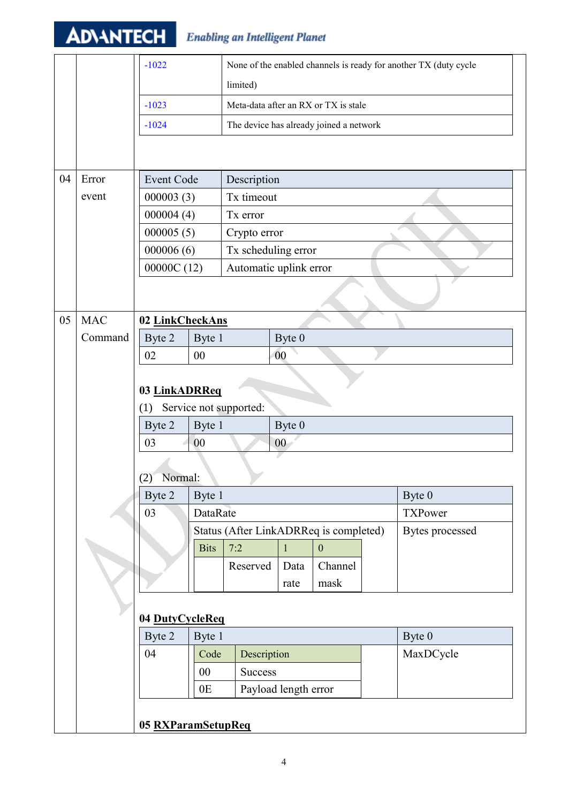# **ADVANTECH** Enabling an Intelligent Planet

|    |            | $-1022$           |                    |                                        |                      |                                         |  | None of the enabled channels is ready for another TX (duty cycle |  |  |  |
|----|------------|-------------------|--------------------|----------------------------------------|----------------------|-----------------------------------------|--|------------------------------------------------------------------|--|--|--|
|    |            |                   |                    | limited)                               |                      |                                         |  |                                                                  |  |  |  |
|    |            | $-1023$           |                    | Meta-data after an RX or TX is stale   |                      |                                         |  |                                                                  |  |  |  |
|    |            | $-1024$           |                    |                                        |                      | The device has already joined a network |  |                                                                  |  |  |  |
|    |            |                   |                    |                                        |                      |                                         |  |                                                                  |  |  |  |
|    |            |                   |                    |                                        |                      |                                         |  |                                                                  |  |  |  |
| 04 | Error      | <b>Event Code</b> |                    | Description                            |                      |                                         |  |                                                                  |  |  |  |
|    | event      | 000003(3)         |                    | Tx timeout                             |                      |                                         |  |                                                                  |  |  |  |
|    |            | 000004(4)         |                    | Tx error                               |                      |                                         |  |                                                                  |  |  |  |
|    |            | 000005(5)         |                    | Crypto error                           |                      |                                         |  |                                                                  |  |  |  |
|    |            | 000006(6)         |                    | Tx scheduling error                    |                      |                                         |  |                                                                  |  |  |  |
|    |            | 00000C(12)        |                    | Automatic uplink error                 |                      |                                         |  |                                                                  |  |  |  |
|    |            |                   |                    |                                        |                      |                                         |  |                                                                  |  |  |  |
|    |            |                   |                    |                                        |                      |                                         |  |                                                                  |  |  |  |
| 05 | <b>MAC</b> | 02 LinkCheckAns   |                    |                                        |                      |                                         |  |                                                                  |  |  |  |
|    | Command    | Byte 2            | Byte 1             |                                        | Byte 0               |                                         |  |                                                                  |  |  |  |
|    |            | 02                | 00                 |                                        | 00                   |                                         |  |                                                                  |  |  |  |
|    |            |                   |                    |                                        |                      |                                         |  |                                                                  |  |  |  |
|    |            | 03 LinkADRReq     |                    |                                        |                      |                                         |  |                                                                  |  |  |  |
|    |            | (1)               |                    | Service not supported:                 |                      |                                         |  |                                                                  |  |  |  |
|    |            | Byte 2<br>03      | Byte 1<br>00       |                                        | Byte 0               |                                         |  |                                                                  |  |  |  |
|    |            |                   |                    |                                        | $00\,$               |                                         |  |                                                                  |  |  |  |
|    |            | (2) Normal:       |                    |                                        |                      |                                         |  |                                                                  |  |  |  |
|    |            | Byte 2            | Byte 1             |                                        |                      |                                         |  | Byte 0                                                           |  |  |  |
|    |            | 03                | DataRate           |                                        |                      |                                         |  | <b>TXPower</b>                                                   |  |  |  |
|    |            |                   |                    | Status (After LinkADRReq is completed) |                      |                                         |  | Bytes processed                                                  |  |  |  |
|    |            |                   | <b>Bits</b>        | 7:2                                    | $\mathbf{1}$         | $\boldsymbol{0}$                        |  |                                                                  |  |  |  |
|    |            |                   |                    | Reserved                               | Data                 | Channel                                 |  |                                                                  |  |  |  |
|    |            |                   |                    |                                        | rate                 | mask                                    |  |                                                                  |  |  |  |
|    |            |                   |                    |                                        |                      |                                         |  |                                                                  |  |  |  |
|    |            |                   | 04 DutyCycleReq    |                                        |                      |                                         |  |                                                                  |  |  |  |
|    |            | Byte 2            | Byte 1             |                                        |                      |                                         |  | Byte 0                                                           |  |  |  |
|    |            | 04                | Code               | Description                            |                      |                                         |  | MaxDCycle                                                        |  |  |  |
|    |            |                   | 00                 | <b>Success</b>                         |                      |                                         |  |                                                                  |  |  |  |
|    |            |                   | 0E                 |                                        | Payload length error |                                         |  |                                                                  |  |  |  |
|    |            |                   |                    |                                        |                      |                                         |  |                                                                  |  |  |  |
|    |            |                   | 05 RXParamSetupReq |                                        |                      |                                         |  |                                                                  |  |  |  |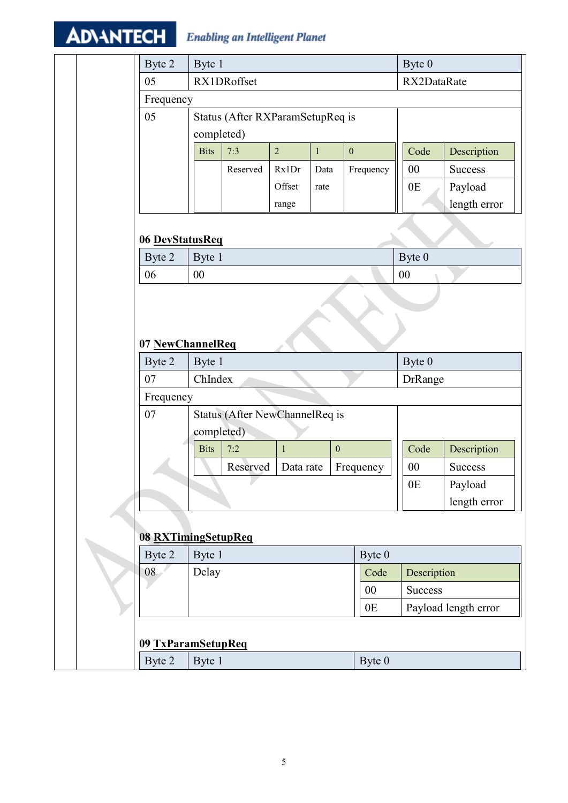#### **ADVANTECH Enabling an Intelligent Planet**

|                              |             |                                  |                |              |                  |           | Byte 0         |                      |  |
|------------------------------|-------------|----------------------------------|----------------|--------------|------------------|-----------|----------------|----------------------|--|
| Byte 2                       | Byte 1      |                                  |                |              |                  |           |                |                      |  |
| 05                           |             | RX1DRoffset                      |                |              |                  |           | RX2DataRate    |                      |  |
| Frequency                    |             |                                  |                |              |                  |           |                |                      |  |
| 05                           |             | Status (After RXParamSetupReq is |                |              |                  |           |                |                      |  |
|                              | completed)  |                                  |                |              |                  |           |                |                      |  |
|                              | <b>Bits</b> | 7:3                              | $\overline{2}$ | $\mathbf{1}$ | $\boldsymbol{0}$ |           | Code           | Description          |  |
|                              |             | Reserved                         | Rx1Dr          | Data         |                  | Frequency | 00             | <b>Success</b>       |  |
|                              |             |                                  | Offset         | rate         |                  |           | 0 <sub>E</sub> | Payload              |  |
|                              |             |                                  | range          |              |                  |           |                | length error         |  |
| 06 DevStatusReq              |             |                                  |                |              |                  |           |                |                      |  |
| Byte 2                       | Byte 1      |                                  |                |              |                  |           | Byte 0         |                      |  |
| 06                           | $00\,$      |                                  |                |              |                  |           | 00             |                      |  |
| 07 NewChannelReq<br>Byte 2   | Byte 1      |                                  |                |              |                  |           | Byte 0         |                      |  |
| 07                           | ChIndex     |                                  |                |              |                  |           | <b>DrRange</b> |                      |  |
| Frequency                    |             |                                  |                |              |                  |           |                |                      |  |
| 07                           |             | Status (After NewChannelReq is   |                |              |                  |           |                |                      |  |
|                              | completed)  |                                  |                |              |                  |           |                |                      |  |
|                              | <b>Bits</b> | 7:2                              | $\,1\,$        |              | $\boldsymbol{0}$ |           | Code           | Description          |  |
|                              |             | Reserved                         | Data rate      |              |                  | Frequency | 00             | <b>Success</b>       |  |
|                              |             |                                  |                |              |                  |           | 0E             | Payload              |  |
|                              |             |                                  |                |              |                  |           |                | length error         |  |
|                              |             |                                  |                |              |                  |           |                |                      |  |
| 08 RXTimingSetupReq          |             |                                  |                |              |                  |           |                |                      |  |
| Byte 2                       | Byte 1      |                                  |                |              |                  | Byte 0    |                |                      |  |
| 08                           | Delay       |                                  |                |              |                  | Code      | Description    |                      |  |
|                              |             |                                  |                |              |                  | $00\,$    | Success        |                      |  |
|                              |             |                                  |                |              |                  |           |                |                      |  |
|                              |             |                                  |                |              |                  | 0E        |                | Payload length error |  |
|                              |             |                                  |                |              |                  |           |                |                      |  |
| 09 TxParamSetupReq<br>Byte 2 | Byte 1      |                                  |                |              |                  | Byte 0    |                |                      |  |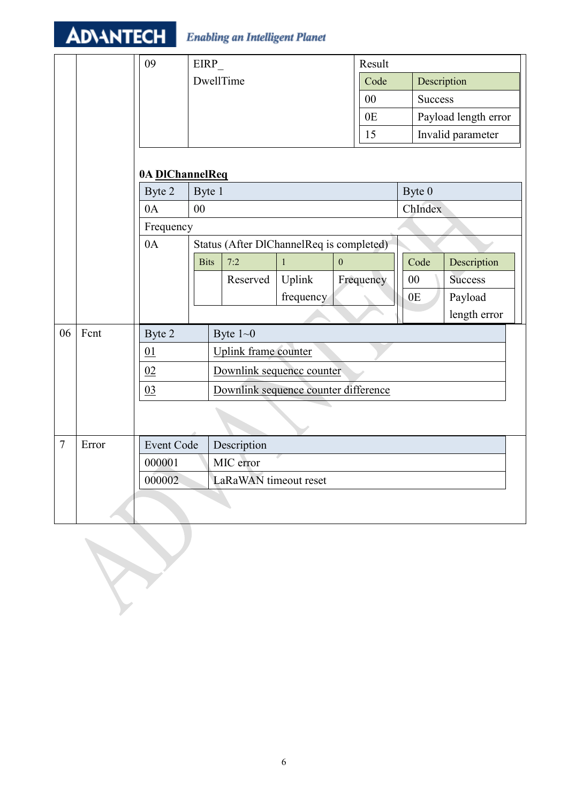|        | <b>ADVANTECH</b> |                     |             | <b>Enabling an Intelligent Planet</b>    |           |  |                |        |                |                      |  |
|--------|------------------|---------------------|-------------|------------------------------------------|-----------|--|----------------|--------|----------------|----------------------|--|
|        |                  | 09                  | EIRP        |                                          |           |  | Result         |        |                |                      |  |
|        |                  |                     |             | DwellTime                                |           |  | Code           |        | Description    |                      |  |
|        |                  |                     |             |                                          |           |  | 00             |        | <b>Success</b> |                      |  |
|        |                  |                     |             |                                          |           |  | 0 <sub>E</sub> |        |                | Payload length error |  |
|        |                  |                     |             |                                          |           |  | 15             |        |                | Invalid parameter    |  |
|        |                  | 0A DIChannelReq     |             |                                          |           |  |                |        |                |                      |  |
|        |                  | Byte 2              | Byte 1      |                                          |           |  |                | Byte 0 |                |                      |  |
|        |                  | 0A                  | 00          |                                          |           |  |                |        | ChIndex        |                      |  |
|        |                  | Frequency           |             |                                          |           |  |                |        |                |                      |  |
|        |                  | 0A                  |             | Status (After DlChannelReq is completed) |           |  |                |        |                |                      |  |
|        |                  |                     | <b>Bits</b> | 7:2<br>$\overline{0}$<br>$\mathbf{1}$    |           |  |                | Code   | Description    |                      |  |
|        |                  |                     |             | Reserved                                 | Uplink    |  | Frequency      | $00\,$ |                | <b>Success</b>       |  |
|        |                  |                     |             |                                          | frequency |  |                | 0E     |                | Payload              |  |
|        |                  |                     |             |                                          |           |  |                |        |                | length error         |  |
| 06     | Fcnt             | Byte 2              |             | Byte $1 - 0$                             |           |  |                |        |                |                      |  |
|        |                  | 01                  |             | <b>Uplink</b> frame counter              |           |  |                |        |                |                      |  |
|        |                  | 02                  |             | Downlink sequence counter                |           |  |                |        |                |                      |  |
|        |                  | 03                  |             | Downlink sequence counter difference     |           |  |                |        |                |                      |  |
|        |                  |                     |             |                                          |           |  |                |        |                |                      |  |
| $\tau$ | Error            | <b>Event Code</b>   |             | Description                              |           |  |                |        |                |                      |  |
|        |                  | MIC error<br>000001 |             |                                          |           |  |                |        |                |                      |  |
|        |                  | 000002              |             | LaRaWAN timeout reset                    |           |  |                |        |                |                      |  |
|        |                  |                     |             |                                          |           |  |                |        |                |                      |  |